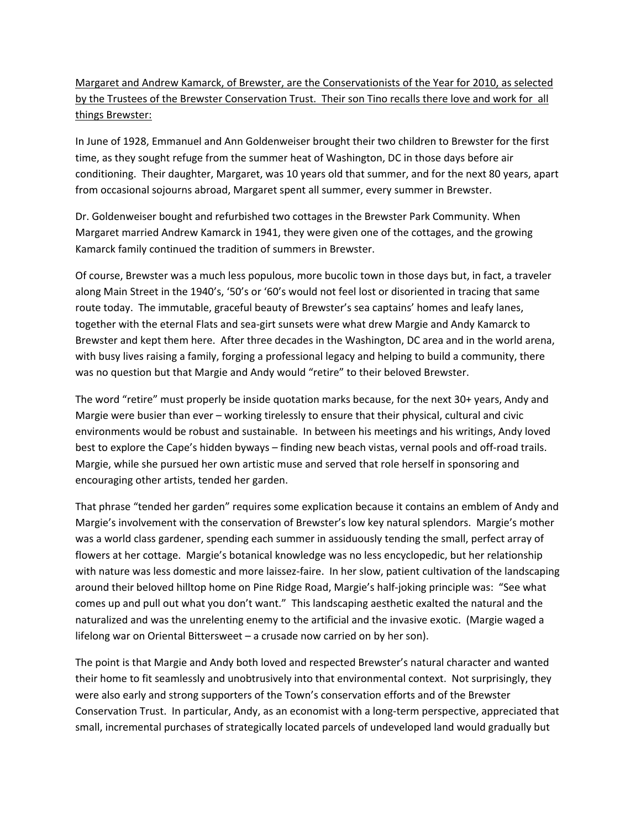## Margaret and Andrew Kamarck, of Brewster, are the Conservationists of the Year for 2010, as selected by the Trustees of the Brewster Conservation Trust. Their son Tino recalls there love and work for all things Brewster:

In June of 1928, Emmanuel and Ann Goldenweiser brought their two children to Brewster for the first time, as they sought refuge from the summer heat of Washington, DC in those days before air conditioning. Their daughter, Margaret, was 10 years old that summer, and for the next 80 years, apart from occasional sojourns abroad, Margaret spent all summer, every summer in Brewster.

Dr. Goldenweiser bought and refurbished two cottages in the Brewster Park Community. When Margaret married Andrew Kamarck in 1941, they were given one of the cottages, and the growing Kamarck family continued the tradition of summers in Brewster.

Of course, Brewster was a much less populous, more bucolic town in those days but, in fact, a traveler along Main Street in the 1940's, '50's or '60's would not feel lost or disoriented in tracing that same route today. The immutable, graceful beauty of Brewster's sea captains' homes and leafy lanes, together with the eternal Flats and sea‐girt sunsets were what drew Margie and Andy Kamarck to Brewster and kept them here. After three decades in the Washington, DC area and in the world arena, with busy lives raising a family, forging a professional legacy and helping to build a community, there was no question but that Margie and Andy would "retire" to their beloved Brewster.

The word "retire" must properly be inside quotation marks because, for the next 30+ years, Andy and Margie were busier than ever – working tirelessly to ensure that their physical, cultural and civic environments would be robust and sustainable. In between his meetings and his writings, Andy loved best to explore the Cape's hidden byways – finding new beach vistas, vernal pools and off-road trails. Margie, while she pursued her own artistic muse and served that role herself in sponsoring and encouraging other artists, tended her garden.

That phrase "tended her garden" requires some explication because it contains an emblem of Andy and Margie's involvement with the conservation of Brewster's low key natural splendors. Margie's mother was a world class gardener, spending each summer in assiduously tending the small, perfect array of flowers at her cottage. Margie's botanical knowledge was no less encyclopedic, but her relationship with nature was less domestic and more laissez-faire. In her slow, patient cultivation of the landscaping around their beloved hilltop home on Pine Ridge Road, Margie's half‐joking principle was: "See what comes up and pull out what you don't want." This landscaping aesthetic exalted the natural and the naturalized and was the unrelenting enemy to the artificial and the invasive exotic. (Margie waged a lifelong war on Oriental Bittersweet – a crusade now carried on by her son).

The point is that Margie and Andy both loved and respected Brewster's natural character and wanted their home to fit seamlessly and unobtrusively into that environmental context. Not surprisingly, they were also early and strong supporters of the Town's conservation efforts and of the Brewster Conservation Trust. In particular, Andy, as an economist with a long‐term perspective, appreciated that small, incremental purchases of strategically located parcels of undeveloped land would gradually but